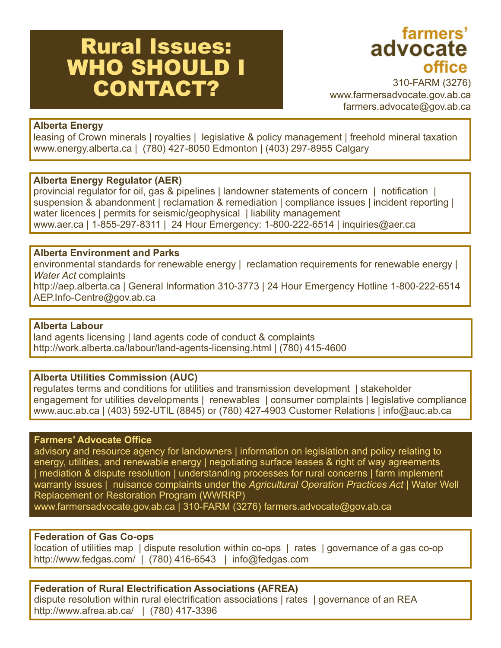# Rural Issues: WHO SHOULD I CONTACT?

'<sub>farmers</sub><br>advocate office

310-FARM (3276) www.farmersadvocate.gov.ab.ca farmers.advocate@gov.ab.ca

# **Alberta Energy**

leasing of Crown minerals | royalties | legislative & policy management | freehold mineral taxation www.energy.alberta.ca | (780) 427-8050 Edmonton | (403) 297-8955 Calgary

# **Alberta Energy Regulator (AER)**

provincial regulator for oil, gas & pipelines | landowner statements of concern | notification suspension & abandonment | reclamation & remediation | compliance issues | incident reporting | water licences | permits for seismic/geophysical | liability management www.aer.ca | 1-855-297-8311 | 24 Hour Emergency: 1-800-222-6514 | inquiries@aer.ca

# **Alberta Environment and Parks**

environmental standards for renewable energy | reclamation requirements for renewable energy | *Water Act* complaints

http://aep.alberta.ca | General Information 310-3773 | 24 Hour Emergency Hotline 1-800-222-6514 AEP.Info-Centre@gov.ab.ca

## **Alberta Labour**

land agents licensing | land agents code of conduct & complaints http://work.alberta.ca/labour/land-agents-licensing.html | (780) 415-4600

## **Alberta Utilities Commission (AUC)**

regulates terms and conditions for utilities and transmission development | stakeholder engagement for utilities developments | renewables | consumer complaints | legislative compliance www.auc.ab.ca | (403) 592-UTIL (8845) or (780) 427-4903 Customer Relations | info@auc.ab.ca

## **Farmers' Advocate Office**

advisory and resource agency for landowners | information on legislation and policy relating to energy, utilities, and renewable energy | negotiating surface leases & right of way agreements | mediation & dispute resolution | understanding processes for rural concerns | farm implement warranty issues | nuisance complaints under the *Agricultural Operation Practices Act* | Water Well Replacement or Restoration Program (WWRRP)

www.farmersadvocate.gov.ab.ca | 310-FARM (3276) farmers.advocate@gov.ab.ca

# **Federation of Gas Co-ops**

location of utilities map | dispute resolution within co-ops | rates | governance of a gas co-op http://www.fedgas.com/ | (780) 416-6543 | info@fedgas.com

**Federation of Rural Electrification Associations (AFREA)** dispute resolution within rural electrification associations | rates | governance of an REA http://www.afrea.ab.ca/ | (780) 417-3396